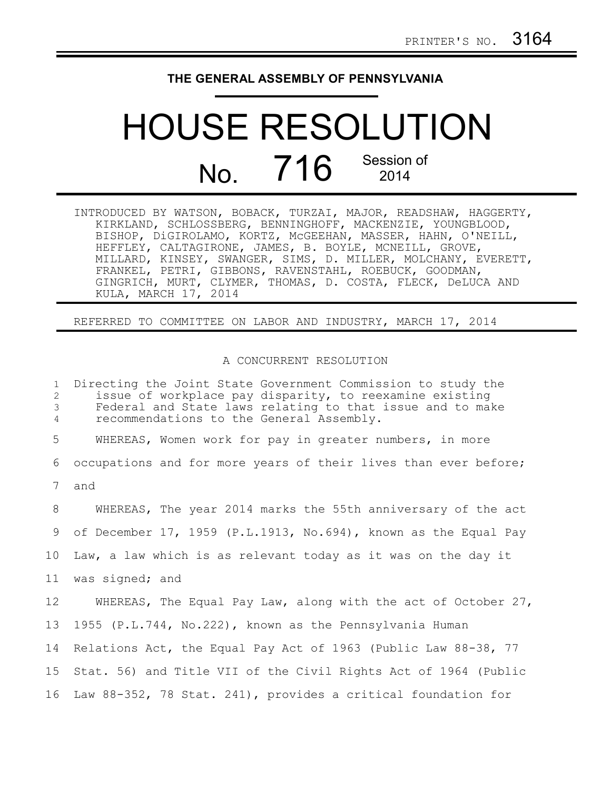## **THE GENERAL ASSEMBLY OF PENNSYLVANIA**

## HOUSE RESOLUTION No. 716 Session of 2014

INTRODUCED BY WATSON, BOBACK, TURZAI, MAJOR, READSHAW, HAGGERTY, KIRKLAND, SCHLOSSBERG, BENNINGHOFF, MACKENZIE, YOUNGBLOOD, BISHOP, DiGIROLAMO, KORTZ, McGEEHAN, MASSER, HAHN, O'NEILL, HEFFLEY, CALTAGIRONE, JAMES, B. BOYLE, MCNEILL, GROVE, MILLARD, KINSEY, SWANGER, SIMS, D. MILLER, MOLCHANY, EVERETT, FRANKEL, PETRI, GIBBONS, RAVENSTAHL, ROEBUCK, GOODMAN, GINGRICH, MURT, CLYMER, THOMAS, D. COSTA, FLECK, DeLUCA AND KULA, MARCH 17, 2014

REFERRED TO COMMITTEE ON LABOR AND INDUSTRY, MARCH 17, 2014

## A CONCURRENT RESOLUTION

Directing the Joint State Government Commission to study the issue of workplace pay disparity, to reexamine existing Federal and State laws relating to that issue and to make recommendations to the General Assembly. WHEREAS, Women work for pay in greater numbers, in more occupations and for more years of their lives than ever before; and WHEREAS, The year 2014 marks the 55th anniversary of the act of December 17, 1959 (P.L.1913, No.694), known as the Equal Pay Law, a law which is as relevant today as it was on the day it was signed; and WHEREAS, The Equal Pay Law, along with the act of October 27, 1955 (P.L.744, No.222), known as the Pennsylvania Human Relations Act, the Equal Pay Act of 1963 (Public Law 88-38, 77 Stat. 56) and Title VII of the Civil Rights Act of 1964 (Public 16 Law 88-352, 78 Stat. 241), provides a critical foundation for 1 2 3 4 5 6 7 8 9 10 11 12 13 14 15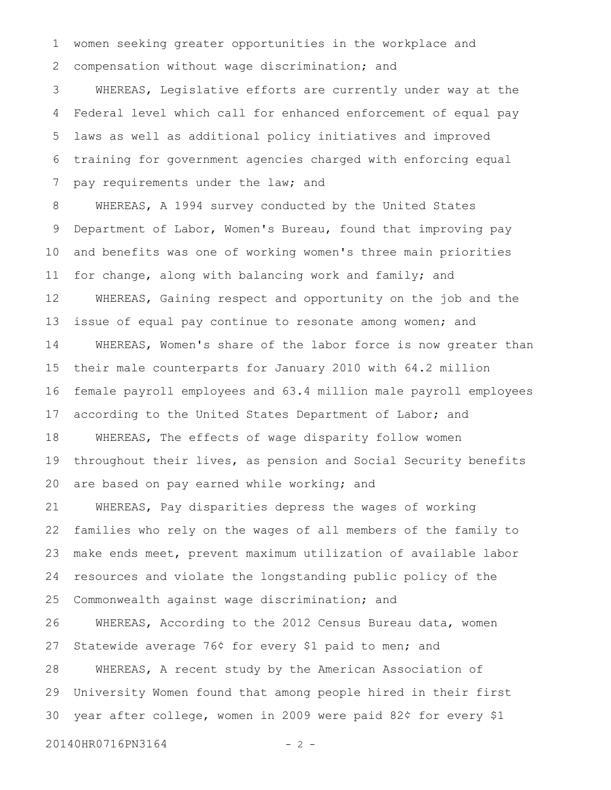women seeking greater opportunities in the workplace and compensation without wage discrimination; and 1 2

WHEREAS, Legislative efforts are currently under way at the Federal level which call for enhanced enforcement of equal pay laws as well as additional policy initiatives and improved training for government agencies charged with enforcing equal pay requirements under the law; and 3 4 5 6 7

WHEREAS, A 1994 survey conducted by the United States Department of Labor, Women's Bureau, found that improving pay and benefits was one of working women's three main priorities for change, along with balancing work and family; and WHEREAS, Gaining respect and opportunity on the job and the issue of equal pay continue to resonate among women; and WHEREAS, Women's share of the labor force is now greater than their male counterparts for January 2010 with 64.2 million female payroll employees and 63.4 million male payroll employees according to the United States Department of Labor; and WHEREAS, The effects of wage disparity follow women throughout their lives, as pension and Social Security benefits are based on pay earned while working; and WHEREAS, Pay disparities depress the wages of working families who rely on the wages of all members of the family to make ends meet, prevent maximum utilization of available labor resources and violate the longstanding public policy of the Commonwealth against wage discrimination; and WHEREAS, According to the 2012 Census Bureau data, women Statewide average 76¢ for every \$1 paid to men; and WHEREAS, A recent study by the American Association of University Women found that among people hired in their first year after college, women in 2009 were paid 82¢ for every \$1 20140HR0716PN3164 - 2 -8 9 10 11 12 13 14 15 16 17 18 19 20 21 22 23 24 25 26 27 28 29 30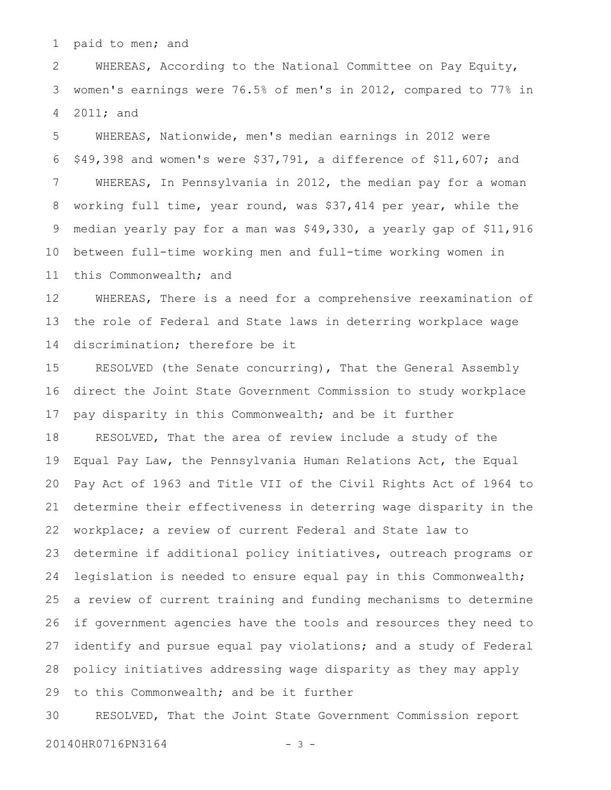paid to men; and 1

WHEREAS, According to the National Committee on Pay Equity, women's earnings were 76.5% of men's in 2012, compared to 77% in 2011; and 2 3 4

WHEREAS, Nationwide, men's median earnings in 2012 were \$49,398 and women's were \$37,791, a difference of \$11,607; and WHEREAS, In Pennsylvania in 2012, the median pay for a woman working full time, year round, was \$37,414 per year, while the median yearly pay for a man was \$49,330, a yearly gap of \$11,916 between full-time working men and full-time working women in this Commonwealth; and 5 6 7 8 9 10 11

WHEREAS, There is a need for a comprehensive reexamination of the role of Federal and State laws in deterring workplace wage discrimination; therefore be it 12 13 14

RESOLVED (the Senate concurring), That the General Assembly direct the Joint State Government Commission to study workplace pay disparity in this Commonwealth; and be it further RESOLVED, That the area of review include a study of the Equal Pay Law, the Pennsylvania Human Relations Act, the Equal Pay Act of 1963 and Title VII of the Civil Rights Act of 1964 to determine their effectiveness in deterring wage disparity in the workplace; a review of current Federal and State law to determine if additional policy initiatives, outreach programs or legislation is needed to ensure equal pay in this Commonwealth; a review of current training and funding mechanisms to determine if government agencies have the tools and resources they need to identify and pursue equal pay violations; and a study of Federal policy initiatives addressing wage disparity as they may apply to this Commonwealth; and be it further 15 16 17 18 19 20 21 22 23 24 25 26 27 28 29

RESOLVED, That the Joint State Government Commission report 30

20140HR0716PN3164 - 3 -